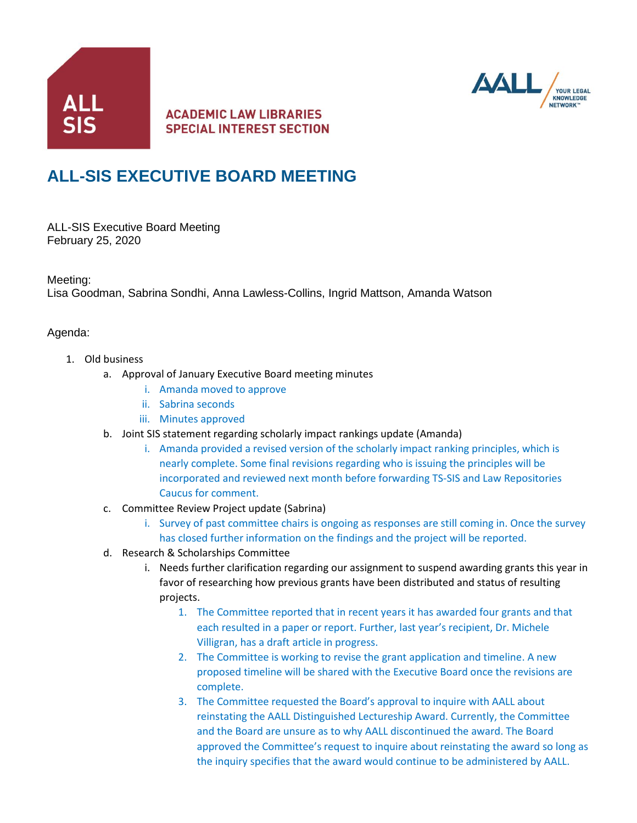

## **ACADEMIC LAW LIBRARIES SPECIAL INTEREST SECTION**



## **ALL-SIS EXECUTIVE BOARD MEETING**

ALL-SIS Executive Board Meeting February 25, 2020

Meeting:

Lisa Goodman, Sabrina Sondhi, Anna Lawless-Collins, Ingrid Mattson, Amanda Watson

## Agenda:

- 1. Old business
	- a. Approval of January Executive Board meeting minutes
		- i. Amanda moved to approve
		- ii. Sabrina seconds
		- iii. Minutes approved
	- b. Joint SIS statement regarding scholarly impact rankings update (Amanda)
		- i. Amanda provided a revised version of the scholarly impact ranking principles, which is nearly complete. Some final revisions regarding who is issuing the principles will be incorporated and reviewed next month before forwarding TS-SIS and Law Repositories Caucus for comment.
	- c. Committee Review Project update (Sabrina)
		- i. Survey of past committee chairs is ongoing as responses are still coming in. Once the survey has closed further information on the findings and the project will be reported.
	- d. Research & Scholarships Committee
		- i. Needs further clarification regarding our assignment to suspend awarding grants this year in favor of researching how previous grants have been distributed and status of resulting projects.
			- 1. The Committee reported that in recent years it has awarded four grants and that each resulted in a paper or report. Further, last year's recipient, Dr. Michele Villigran, has a draft article in progress.
			- 2. The Committee is working to revise the grant application and timeline. A new proposed timeline will be shared with the Executive Board once the revisions are complete.
			- 3. The Committee requested the Board's approval to inquire with AALL about reinstating the AALL Distinguished Lectureship Award. Currently, the Committee and the Board are unsure as to why AALL discontinued the award. The Board approved the Committee's request to inquire about reinstating the award so long as the inquiry specifies that the award would continue to be administered by AALL.